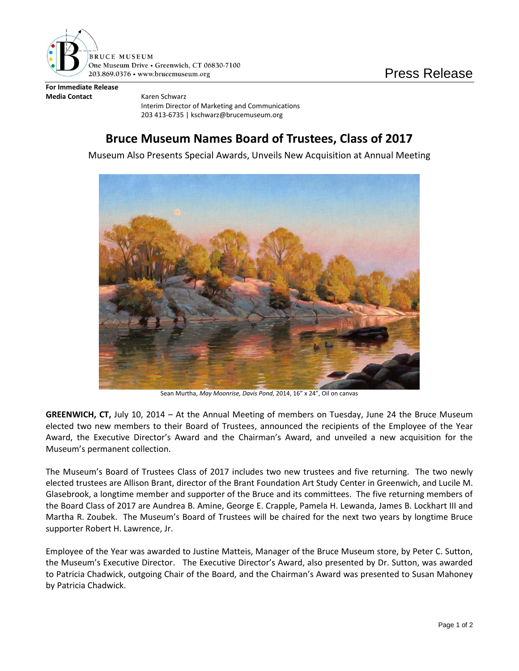

**For Immediate Release Media Contact** Karen Schwarz

Interim Director of Marketing and Communications 203 413-6735 | kschwarz@brucemuseum.org

## **Bruce Museum Names Board of Trustees, Class of 2017**

Museum Also Presents Special Awards, Unveils New Acquisition at Annual Meeting



Sean Murtha, *May Moonrise, Davis Pond*, 2014, 16" x 24", Oil on canvas

**GREENWICH, CT,** July 10, 2014 – At the Annual Meeting of members on Tuesday, June 24 the Bruce Museum elected two new members to their Board of Trustees, announced the recipients of the Employee of the Year Award, the Executive Director's Award and the Chairman's Award, and unveiled a new acquisition for the Museum's permanent collection.

The Museum's Board of Trustees Class of 2017 includes two new trustees and five returning. The two newly elected trustees are Allison Brant, director of the Brant Foundation Art Study Center in Greenwich, and Lucile M. Glasebrook, a longtime member and supporter of the Bruce and its committees. The five returning members of the Board Class of 2017 are Aundrea B. Amine, George E. Crapple, Pamela H. Lewanda, James B. Lockhart III and Martha R. Zoubek. The Museum's Board of Trustees will be chaired for the next two years by longtime Bruce supporter Robert H. Lawrence, Jr.

Employee of the Year was awarded to Justine Matteis, Manager of the Bruce Museum store, by Peter C. Sutton, the Museum's Executive Director. The Executive Director's Award, also presented by Dr. Sutton, was awarded to Patricia Chadwick, outgoing Chair of the Board, and the Chairman's Award was presented to Susan Mahoney by Patricia Chadwick.